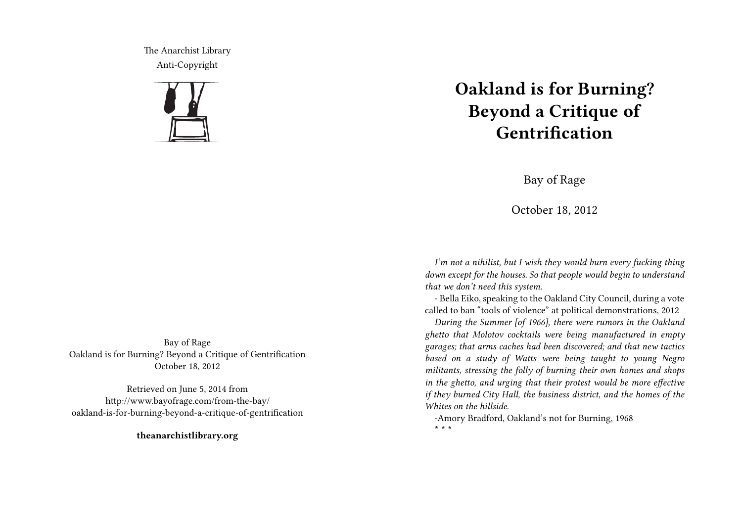The Anarchist Library Anti-Copyright



# **Oakland is for Burning? Beyond a Critique of Gentrification**

Bay of Rage

October 18, 2012

*I'm not a nihilist, but I wish they would burn every fucking thing down except for the houses. So that people would begin to understand that we don't need this system.*

- Bella Eiko, speaking to the Oakland City Council, during a vote called to ban "tools of violence" at political demonstrations, 2012

*During the Summer [of 1966], there were rumors in the Oakland ghetto that Molotov cocktails were being manufactured in empty garages; that arms caches had been discovered; and that new tactics based on a study of Watts were being taught to young Negro militants, stressing the folly of burning their own homes and shops in the ghetto, and urging that their protest would be more effective if they burned City Hall, the business district, and the homes of the Whites on the hillside.*

-Amory Bradford, Oakland's not for Burning, 1968 **\* \* \***

Bay of Rage Oakland is for Burning? Beyond a Critique of Gentrification October 18, 2012

Retrieved on June 5, 2014 from http://www.bayofrage.com/from-the-bay/ oakland-is-for-burning-beyond-a-critique-of-gentrification

**theanarchistlibrary.org**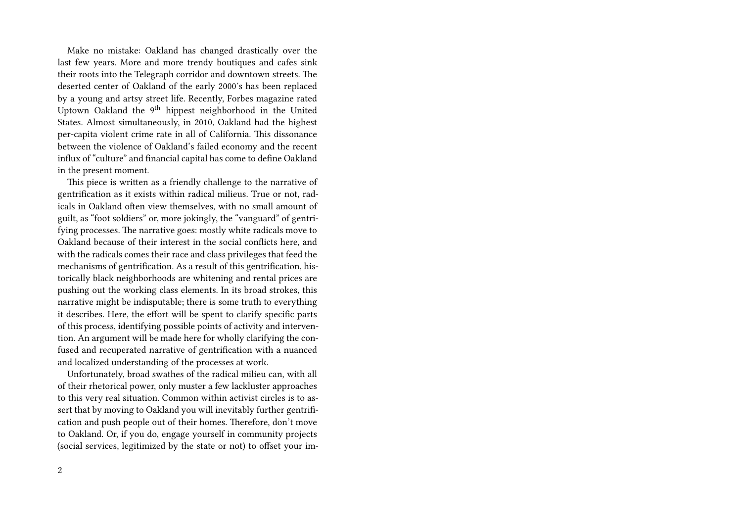Make no mistake: Oakland has changed drastically over the last few years. More and more trendy boutiques and cafes sink their roots into the Telegraph corridor and downtown streets. The deserted center of Oakland of the early 2000′s has been replaced by a young and artsy street life. Recently, Forbes magazine rated Uptown Oakland the 9<sup>th</sup> hippest neighborhood in the United States. Almost simultaneously, in 2010, Oakland had the highest per-capita violent crime rate in all of California. This dissonance between the violence of Oakland's failed economy and the recent influx of "culture" and financial capital has come to define Oakland in the present moment.

This piece is written as a friendly challenge to the narrative of gentrification as it exists within radical milieus. True or not, radicals in Oakland often view themselves, with no small amount of guilt, as "foot soldiers" or, more jokingly, the "vanguard" of gentrifying processes. The narrative goes: mostly white radicals move to Oakland because of their interest in the social conflicts here, and with the radicals comes their race and class privileges that feed the mechanisms of gentrification. As a result of this gentrification, historically black neighborhoods are whitening and rental prices are pushing out the working class elements. In its broad strokes, this narrative might be indisputable; there is some truth to everything it describes. Here, the effort will be spent to clarify specific parts of this process, identifying possible points of activity and intervention. An argument will be made here for wholly clarifying the confused and recuperated narrative of gentrification with a nuanced and localized understanding of the processes at work.

Unfortunately, broad swathes of the radical milieu can, with all of their rhetorical power, only muster a few lackluster approaches to this very real situation. Common within activist circles is to assert that by moving to Oakland you will inevitably further gentrification and push people out of their homes. Therefore, don't move to Oakland. Or, if you do, engage yourself in community projects (social services, legitimized by the state or not) to offset your im-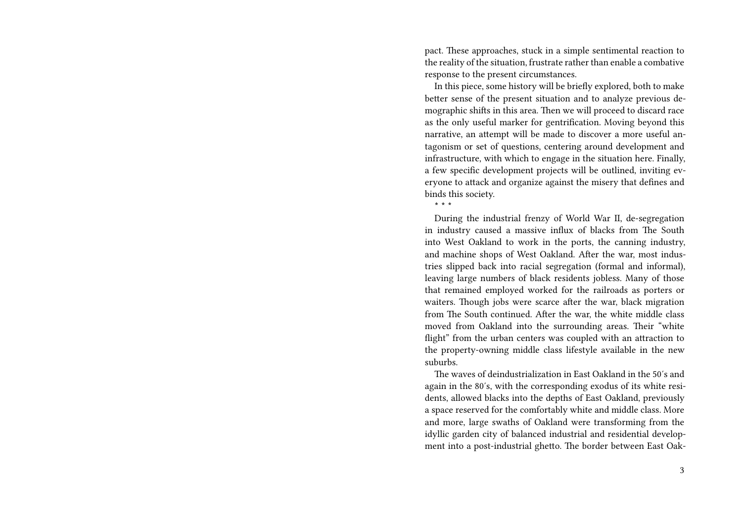pact. These approaches, stuck in a simple sentimental reaction to the reality of the situation, frustrate rather than enable a combative response to the present circumstances.

In this piece, some history will be briefly explored, both to make better sense of the present situation and to analyze previous demographic shifts in this area. Then we will proceed to discard race as the only useful marker for gentrification. Moving beyond this narrative, an attempt will be made to discover a more useful antagonism or set of questions, centering around development and infrastructure, with which to engage in the situation here. Finally, a few specific development projects will be outlined, inviting everyone to attack and organize against the misery that defines and binds this society.

**\* \* \***

During the industrial frenzy of World War II, de-segregation in industry caused a massive influx of blacks from The South into West Oakland to work in the ports, the canning industry, and machine shops of West Oakland. After the war, most industries slipped back into racial segregation (formal and informal), leaving large numbers of black residents jobless. Many of those that remained employed worked for the railroads as porters or waiters. Though jobs were scarce after the war, black migration from The South continued. After the war, the white middle class moved from Oakland into the surrounding areas. Their "white flight" from the urban centers was coupled with an attraction to the property-owning middle class lifestyle available in the new suburbs.

The waves of deindustrialization in East Oakland in the 50′s and again in the 80′s, with the corresponding exodus of its white residents, allowed blacks into the depths of East Oakland, previously a space reserved for the comfortably white and middle class. More and more, large swaths of Oakland were transforming from the idyllic garden city of balanced industrial and residential development into a post-industrial ghetto. The border between East Oak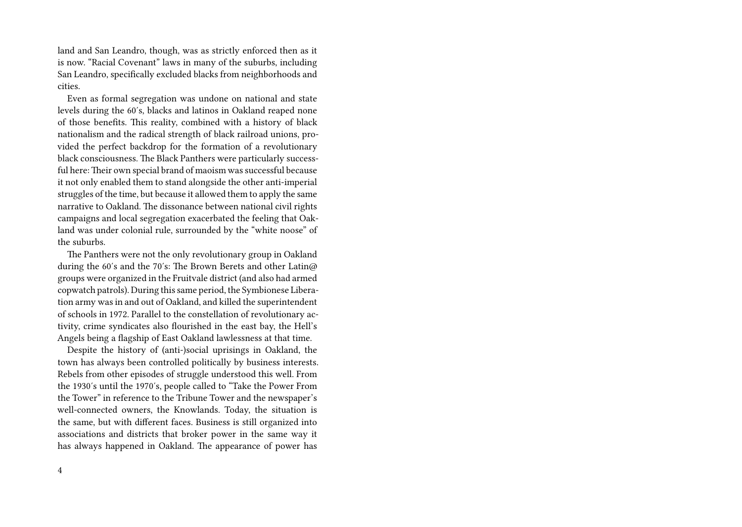land and San Leandro, though, was as strictly enforced then as it is now. "Racial Covenant" laws in many of the suburbs, including San Leandro, specifically excluded blacks from neighborhoods and cities.

Even as formal segregation was undone on national and state levels during the 60′s, blacks and latinos in Oakland reaped none of those benefits. This reality, combined with a history of black nationalism and the radical strength of black railroad unions, provided the perfect backdrop for the formation of a revolutionary black consciousness. The Black Panthers were particularly successful here: Their own special brand of maoism was successful because it not only enabled them to stand alongside the other anti-imperial struggles of the time, but because it allowed them to apply the same narrative to Oakland. The dissonance between national civil rights campaigns and local segregation exacerbated the feeling that Oakland was under colonial rule, surrounded by the "white noose" of the suburbs.

The Panthers were not the only revolutionary group in Oakland during the 60′s and the 70′s: The Brown Berets and other Latin@ groups were organized in the Fruitvale district (and also had armed copwatch patrols). During this same period, the Symbionese Liberation army was in and out of Oakland, and killed the superintendent of schools in 1972. Parallel to the constellation of revolutionary activity, crime syndicates also flourished in the east bay, the Hell's Angels being a flagship of East Oakland lawlessness at that time.

Despite the history of (anti-)social uprisings in Oakland, the town has always been controlled politically by business interests. Rebels from other episodes of struggle understood this well. From the 1930′s until the 1970′s, people called to "Take the Power From the Tower" in reference to the Tribune Tower and the newspaper's well-connected owners, the Knowlands. Today, the situation is the same, but with different faces. Business is still organized into associations and districts that broker power in the same way it has always happened in Oakland. The appearance of power has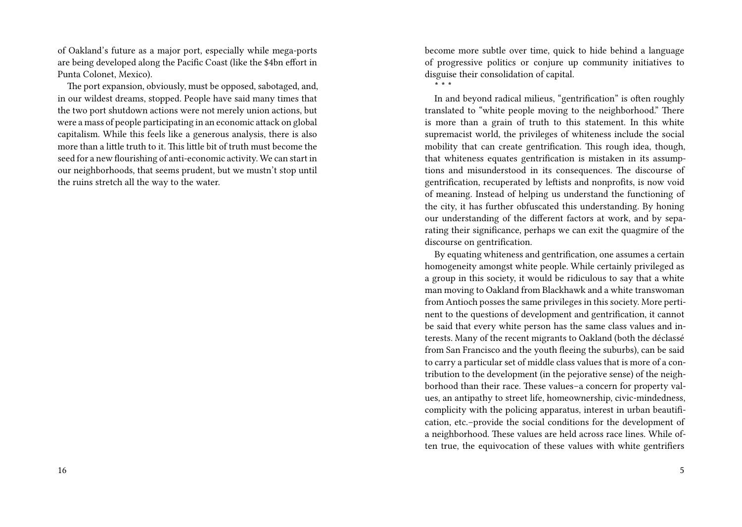of Oakland's future as a major port, especially while mega-ports are being developed along the Pacific Coast (like the \$4bn effort in Punta Colonet, Mexico).

The port expansion, obviously, must be opposed, sabotaged, and, in our wildest dreams, stopped. People have said many times that the two port shutdown actions were not merely union actions, but were a mass of people participating in an economic attack on global capitalism. While this feels like a generous analysis, there is also more than a little truth to it. This little bit of truth must become the seed for a new flourishing of anti-economic activity. We can start in our neighborhoods, that seems prudent, but we mustn't stop until the ruins stretch all the way to the water.

become more subtle over time, quick to hide behind a language of progressive politics or conjure up community initiatives to disguise their consolidation of capital.

**\* \* \***

In and beyond radical milieus, "gentrification" is often roughly translated to "white people moving to the neighborhood." There is more than a grain of truth to this statement. In this white supremacist world, the privileges of whiteness include the social mobility that can create gentrification. This rough idea, though, that whiteness equates gentrification is mistaken in its assumptions and misunderstood in its consequences. The discourse of gentrification, recuperated by leftists and nonprofits, is now void of meaning. Instead of helping us understand the functioning of the city, it has further obfuscated this understanding. By honing our understanding of the different factors at work, and by separating their significance, perhaps we can exit the quagmire of the discourse on gentrification.

By equating whiteness and gentrification, one assumes a certain homogeneity amongst white people. While certainly privileged as a group in this society, it would be ridiculous to say that a white man moving to Oakland from Blackhawk and a white transwoman from Antioch posses the same privileges in this society. More pertinent to the questions of development and gentrification, it cannot be said that every white person has the same class values and interests. Many of the recent migrants to Oakland (both the déclassé from San Francisco and the youth fleeing the suburbs), can be said to carry a particular set of middle class values that is more of a contribution to the development (in the pejorative sense) of the neighborhood than their race. These values–a concern for property values, an antipathy to street life, homeownership, civic-mindedness, complicity with the policing apparatus, interest in urban beautification, etc.–provide the social conditions for the development of a neighborhood. These values are held across race lines. While often true, the equivocation of these values with white gentrifiers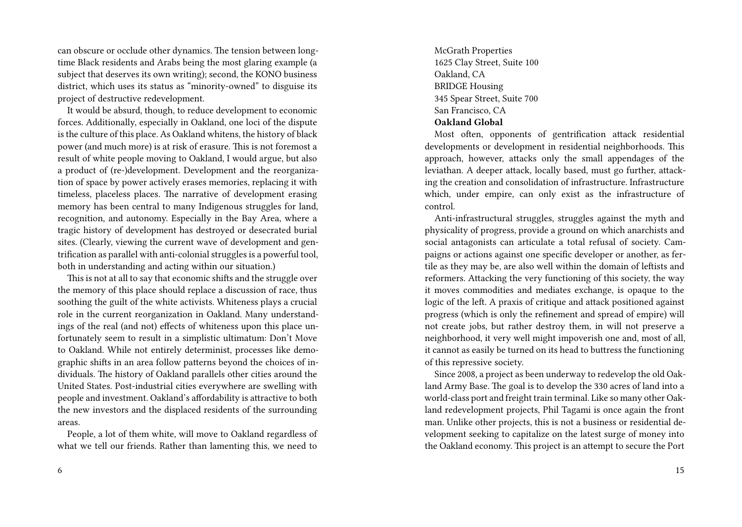can obscure or occlude other dynamics. The tension between longtime Black residents and Arabs being the most glaring example (a subject that deserves its own writing); second, the KONO business district, which uses its status as "minority-owned" to disguise its project of destructive redevelopment.

It would be absurd, though, to reduce development to economic forces. Additionally, especially in Oakland, one loci of the dispute is the culture of this place. As Oakland whitens, the history of black power (and much more) is at risk of erasure. This is not foremost a result of white people moving to Oakland, I would argue, but also a product of (re-)development. Development and the reorganization of space by power actively erases memories, replacing it with timeless, placeless places. The narrative of development erasing memory has been central to many Indigenous struggles for land, recognition, and autonomy. Especially in the Bay Area, where a tragic history of development has destroyed or desecrated burial sites. (Clearly, viewing the current wave of development and gentrification as parallel with anti-colonial struggles is a powerful tool, both in understanding and acting within our situation.)

This is not at all to say that economic shifts and the struggle over the memory of this place should replace a discussion of race, thus soothing the guilt of the white activists. Whiteness plays a crucial role in the current reorganization in Oakland. Many understandings of the real (and not) effects of whiteness upon this place unfortunately seem to result in a simplistic ultimatum: Don't Move to Oakland. While not entirely determinist, processes like demographic shifts in an area follow patterns beyond the choices of individuals. The history of Oakland parallels other cities around the United States. Post-industrial cities everywhere are swelling with people and investment. Oakland's affordability is attractive to both the new investors and the displaced residents of the surrounding areas.

People, a lot of them white, will move to Oakland regardless of what we tell our friends. Rather than lamenting this, we need to

McGrath Properties 1625 Clay Street, Suite 100 Oakland, CA BRIDGE Housing 345 Spear Street, Suite 700 San Francisco, CA **Oakland Global**

Most often, opponents of gentrification attack residential developments or development in residential neighborhoods. This approach, however, attacks only the small appendages of the leviathan. A deeper attack, locally based, must go further, attacking the creation and consolidation of infrastructure. Infrastructure which, under empire, can only exist as the infrastructure of control.

Anti-infrastructural struggles, struggles against the myth and physicality of progress, provide a ground on which anarchists and social antagonists can articulate a total refusal of society. Campaigns or actions against one specific developer or another, as fertile as they may be, are also well within the domain of leftists and reformers. Attacking the very functioning of this society, the way it moves commodities and mediates exchange, is opaque to the logic of the left. A praxis of critique and attack positioned against progress (which is only the refinement and spread of empire) will not create jobs, but rather destroy them, in will not preserve a neighborhood, it very well might impoverish one and, most of all, it cannot as easily be turned on its head to buttress the functioning of this repressive society.

Since 2008, a project as been underway to redevelop the old Oakland Army Base. The goal is to develop the 330 acres of land into a world-class port and freight train terminal. Like so many other Oakland redevelopment projects, Phil Tagami is once again the front man. Unlike other projects, this is not a business or residential development seeking to capitalize on the latest surge of money into the Oakland economy. This project is an attempt to secure the Port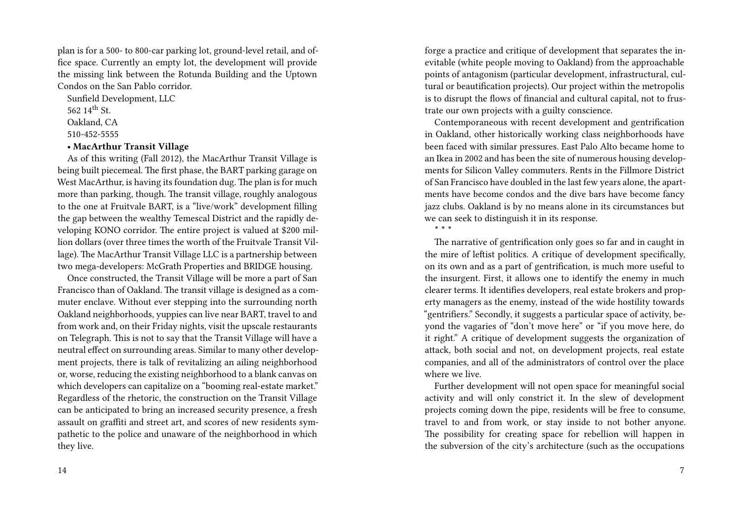plan is for a 500- to 800-car parking lot, ground-level retail, and office space. Currently an empty lot, the development will provide the missing link between the Rotunda Building and the Uptown Condos on the San Pablo corridor.

Sunfield Development, LLC

562 14th St.

Oakland, CA

510-452-5555

## **• MacArthur Transit Village**

As of this writing (Fall 2012), the MacArthur Transit Village is being built piecemeal. The first phase, the BART parking garage on West MacArthur, is having its foundation dug. The plan is for much more than parking, though. The transit village, roughly analogous to the one at Fruitvale BART, is a "live/work" development filling the gap between the wealthy Temescal District and the rapidly developing KONO corridor. The entire project is valued at \$200 million dollars (over three times the worth of the Fruitvale Transit Village). The MacArthur Transit Village LLC is a partnership between two mega-developers: McGrath Properties and BRIDGE housing.

Once constructed, the Transit Village will be more a part of San Francisco than of Oakland. The transit village is designed as a commuter enclave. Without ever stepping into the surrounding north Oakland neighborhoods, yuppies can live near BART, travel to and from work and, on their Friday nights, visit the upscale restaurants on Telegraph. This is not to say that the Transit Village will have a neutral effect on surrounding areas. Similar to many other development projects, there is talk of revitalizing an ailing neighborhood or, worse, reducing the existing neighborhood to a blank canvas on which developers can capitalize on a "booming real-estate market." Regardless of the rhetoric, the construction on the Transit Village can be anticipated to bring an increased security presence, a fresh assault on graffiti and street art, and scores of new residents sympathetic to the police and unaware of the neighborhood in which they live.

forge a practice and critique of development that separates the inevitable (white people moving to Oakland) from the approachable points of antagonism (particular development, infrastructural, cultural or beautification projects). Our project within the metropolis is to disrupt the flows of financial and cultural capital, not to frustrate our own projects with a guilty conscience.

Contemporaneous with recent development and gentrification in Oakland, other historically working class neighborhoods have been faced with similar pressures. East Palo Alto became home to an Ikea in 2002 and has been the site of numerous housing developments for Silicon Valley commuters. Rents in the Fillmore District of San Francisco have doubled in the last few years alone, the apartments have become condos and the dive bars have become fancy jazz clubs. Oakland is by no means alone in its circumstances but we can seek to distinguish it in its response. **\* \* \***

The narrative of gentrification only goes so far and in caught in the mire of leftist politics. A critique of development specifically, on its own and as a part of gentrification, is much more useful to the insurgent. First, it allows one to identify the enemy in much clearer terms. It identifies developers, real estate brokers and property managers as the enemy, instead of the wide hostility towards "gentrifiers." Secondly, it suggests a particular space of activity, beyond the vagaries of "don't move here" or "if you move here, do it right." A critique of development suggests the organization of attack, both social and not, on development projects, real estate companies, and all of the administrators of control over the place where we live.

Further development will not open space for meaningful social activity and will only constrict it. In the slew of development projects coming down the pipe, residents will be free to consume, travel to and from work, or stay inside to not bother anyone. The possibility for creating space for rebellion will happen in the subversion of the city's architecture (such as the occupations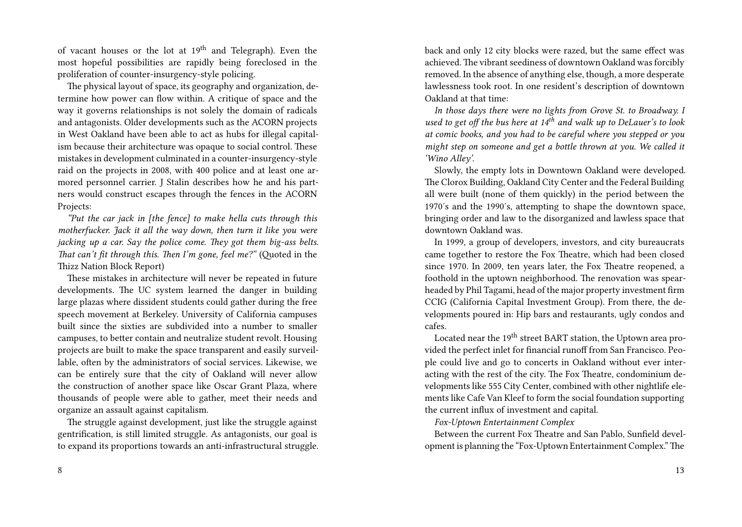of vacant houses or the lot at  $19<sup>th</sup>$  and Telegraph). Even the most hopeful possibilities are rapidly being foreclosed in the proliferation of counter-insurgency-style policing.

The physical layout of space, its geography and organization, determine how power can flow within. A critique of space and the way it governs relationships is not solely the domain of radicals and antagonists. Older developments such as the ACORN projects in West Oakland have been able to act as hubs for illegal capitalism because their architecture was opaque to social control. These mistakes in development culminated in a counter-insurgency-style raid on the projects in 2008, with 400 police and at least one armored personnel carrier. J Stalin describes how he and his partners would construct escapes through the fences in the ACORN Projects:

*"Put the car jack in [the fence] to make hella cuts through this motherfucker. Jack it all the way down, then turn it like you were jacking up a car. Say the police come. They got them big-ass belts. That can't fit through this. Then I'm gone, feel me?"* (Quoted in the Thizz Nation Block Report)

These mistakes in architecture will never be repeated in future developments. The UC system learned the danger in building large plazas where dissident students could gather during the free speech movement at Berkeley. University of California campuses built since the sixties are subdivided into a number to smaller campuses, to better contain and neutralize student revolt. Housing projects are built to make the space transparent and easily surveillable, often by the administrators of social services. Likewise, we can be entirely sure that the city of Oakland will never allow the construction of another space like Oscar Grant Plaza, where thousands of people were able to gather, meet their needs and organize an assault against capitalism.

The struggle against development, just like the struggle against gentrification, is still limited struggle. As antagonists, our goal is to expand its proportions towards an anti-infrastructural struggle. back and only 12 city blocks were razed, but the same effect was achieved. The vibrant seediness of downtown Oakland was forcibly removed. In the absence of anything else, though, a more desperate lawlessness took root. In one resident's description of downtown Oakland at that time:

*In those days there were no lights from Grove St. to Broadway. I used to get off the bus here at 14th and walk up to DeLauer's to look at comic books, and you had to be careful where you stepped or you might step on someone and get a bottle thrown at you. We called it 'Wino Alley'.*

Slowly, the empty lots in Downtown Oakland were developed. The Clorox Building, Oakland City Center and the Federal Building all were built (none of them quickly) in the period between the 1970′s and the 1990′s, attempting to shape the downtown space, bringing order and law to the disorganized and lawless space that downtown Oakland was.

In 1999, a group of developers, investors, and city bureaucrats came together to restore the Fox Theatre, which had been closed since 1970. In 2009, ten years later, the Fox Theatre reopened, a foothold in the uptown neighborhood. The renovation was spearheaded by Phil Tagami, head of the major property investment firm CCIG (California Capital Investment Group). From there, the developments poured in: Hip bars and restaurants, ugly condos and cafes.

Located near the 19<sup>th</sup> street BART station, the Uptown area provided the perfect inlet for financial runoff from San Francisco. People could live and go to concerts in Oakland without ever interacting with the rest of the city. The Fox Theatre, condominium developments like 555 City Center, combined with other nightlife elements like Cafe Van Kleef to form the social foundation supporting the current influx of investment and capital.

*Fox-Uptown Entertainment Complex*

Between the current Fox Theatre and San Pablo, Sunfield development is planning the "Fox-Uptown Entertainment Complex."The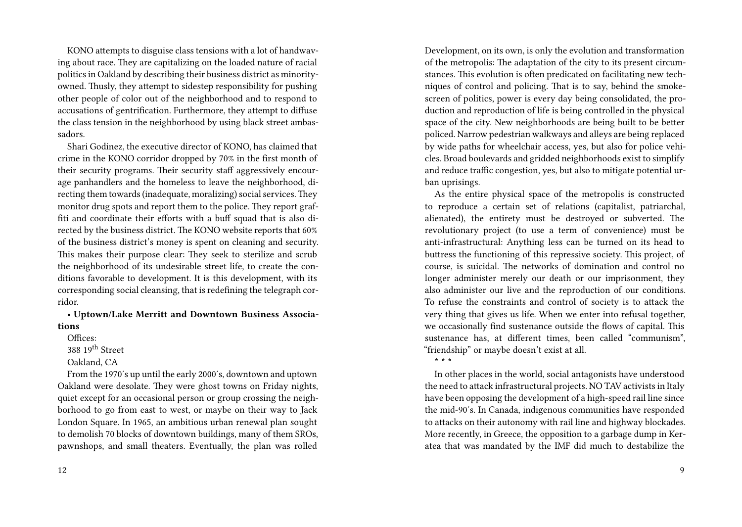KONO attempts to disguise class tensions with a lot of handwaving about race. They are capitalizing on the loaded nature of racial politics in Oakland by describing their business district as minorityowned. Thusly, they attempt to sidestep responsibility for pushing other people of color out of the neighborhood and to respond to accusations of gentrification. Furthermore, they attempt to diffuse the class tension in the neighborhood by using black street ambassadors.

Shari Godinez, the executive director of KONO, has claimed that crime in the KONO corridor dropped by 70% in the first month of their security programs. Their security staff aggressively encourage panhandlers and the homeless to leave the neighborhood, directing them towards (inadequate, moralizing) social services.They monitor drug spots and report them to the police. They report graffiti and coordinate their efforts with a buff squad that is also directed by the business district. The KONO website reports that 60% of the business district's money is spent on cleaning and security. This makes their purpose clear: They seek to sterilize and scrub the neighborhood of its undesirable street life, to create the conditions favorable to development. It is this development, with its corresponding social cleansing, that is redefining the telegraph corridor.

**• Uptown/Lake Merritt and Downtown Business Associations**

Offices: 388 19th Street Oakland, CA

From the 1970′s up until the early 2000′s, downtown and uptown Oakland were desolate. They were ghost towns on Friday nights, quiet except for an occasional person or group crossing the neighborhood to go from east to west, or maybe on their way to Jack London Square. In 1965, an ambitious urban renewal plan sought to demolish 70 blocks of downtown buildings, many of them SROs, pawnshops, and small theaters. Eventually, the plan was rolled

Development, on its own, is only the evolution and transformation of the metropolis: The adaptation of the city to its present circumstances. This evolution is often predicated on facilitating new techniques of control and policing. That is to say, behind the smokescreen of politics, power is every day being consolidated, the production and reproduction of life is being controlled in the physical space of the city. New neighborhoods are being built to be better policed. Narrow pedestrian walkways and alleys are being replaced by wide paths for wheelchair access, yes, but also for police vehicles. Broad boulevards and gridded neighborhoods exist to simplify and reduce traffic congestion, yes, but also to mitigate potential urban uprisings.

As the entire physical space of the metropolis is constructed to reproduce a certain set of relations (capitalist, patriarchal, alienated), the entirety must be destroyed or subverted. The revolutionary project (to use a term of convenience) must be anti-infrastructural: Anything less can be turned on its head to buttress the functioning of this repressive society. This project, of course, is suicidal. The networks of domination and control no longer administer merely our death or our imprisonment, they also administer our live and the reproduction of our conditions. To refuse the constraints and control of society is to attack the very thing that gives us life. When we enter into refusal together, we occasionally find sustenance outside the flows of capital. This sustenance has, at different times, been called "communism", "friendship" or maybe doesn't exist at all. **\* \* \***

In other places in the world, social antagonists have understood the need to attack infrastructural projects. NO TAV activists in Italy have been opposing the development of a high-speed rail line since the mid-90′s. In Canada, indigenous communities have responded to attacks on their autonomy with rail line and highway blockades. More recently, in Greece, the opposition to a garbage dump in Keratea that was mandated by the IMF did much to destabilize the